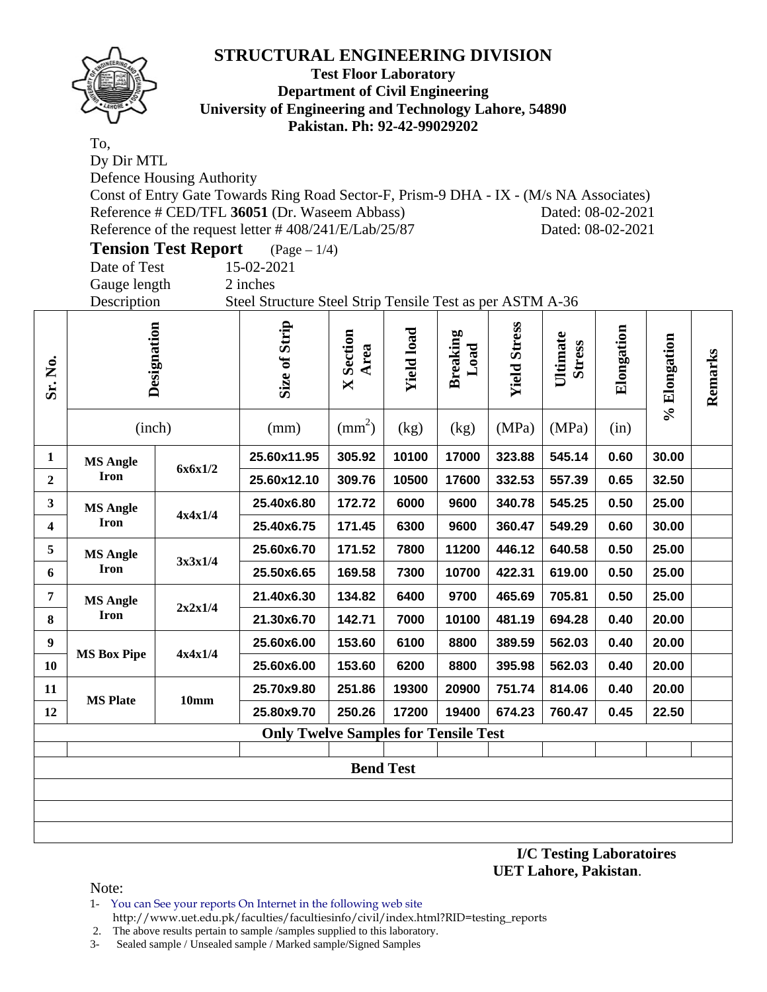

### **Test Floor Laboratory Department of Civil Engineering University of Engineering and Technology Lahore, 54890 Pakistan. Ph: 92-42-99029202**

To, Dy Dir MTL Defence Housing Authority Const of Entry Gate Towards Ring Road Sector-F, Prism-9 DHA - IX - (M/s NA Associates) Reference # CED/TFL 36051 (Dr. Waseem Abbass) Dated: 08-02-2021 Reference of the request letter # 408/241/E/Lab/25/87 Dated: 08-02-2021

**Tension Test Report** (Page – 1/4) Date of Test 15-02-2021

Gauge length 2 inches

Description Steel Structure Steel Strip Tensile Test as per ASTM A-36

|                 |                                       | Size of Strip                                                   | Section<br>Area<br>X | <b>Yield load</b> | <b>Breaking</b><br>Load | <b>Yield Stress</b> | Ultimate<br><b>Stress</b>                   | Elongation |       | Remarks      |
|-----------------|---------------------------------------|-----------------------------------------------------------------|----------------------|-------------------|-------------------------|---------------------|---------------------------------------------|------------|-------|--------------|
| (inch)          |                                       | (mm)                                                            | $\text{mm}^2$ )      | (kg)              | (kg)                    | (MPa)               | (MPa)                                       | (in)       |       |              |
| <b>MS Angle</b> |                                       | 25.60x11.95                                                     | 305.92               | 10100             | 17000                   | 323.88              | 545.14                                      | 0.60       | 30.00 |              |
| <b>Iron</b>     |                                       | 25.60x12.10                                                     | 309.76               | 10500             | 17600                   | 332.53              | 557.39                                      | 0.65       | 32.50 |              |
| <b>MS Angle</b> | 4x4x1/4                               | 25.40x6.80                                                      | 172.72               | 6000              | 9600                    | 340.78              | 545.25                                      | 0.50       | 25.00 |              |
| <b>Iron</b>     |                                       | 25.40x6.75                                                      | 171.45               | 6300              | 9600                    | 360.47              | 549.29                                      | 0.60       | 30.00 |              |
| <b>MS Angle</b> |                                       | 25.60x6.70                                                      | 171.52               | 7800              | 11200                   | 446.12              | 640.58                                      | 0.50       | 25.00 |              |
| <b>Iron</b>     |                                       | 25.50x6.65                                                      | 169.58               | 7300              | 10700                   | 422.31              | 619.00                                      | 0.50       | 25.00 |              |
| <b>MS Angle</b> |                                       | 21.40x6.30                                                      | 134.82               | 6400              | 9700                    | 465.69              | 705.81                                      | 0.50       | 25.00 |              |
| <b>Iron</b>     |                                       | 21.30x6.70                                                      | 142.71               | 7000              | 10100                   | 481.19              | 694.28                                      | 0.40       | 20.00 |              |
|                 |                                       | 25.60x6.00                                                      | 153.60               | 6100              | 8800                    | 389.59              | 562.03                                      | 0.40       | 20.00 |              |
|                 |                                       | 25.60x6.00                                                      | 153.60               | 6200              | 8800                    | 395.98              | 562.03                                      | 0.40       | 20.00 |              |
|                 |                                       | 25.70x9.80                                                      | 251.86               | 19300             | 20900                   | 751.74              | 814.06                                      | 0.40       | 20.00 |              |
|                 |                                       | 25.80x9.70                                                      | 250.26               | 17200             | 19400                   | 674.23              | 760.47                                      | 0.45       | 22.50 |              |
|                 |                                       |                                                                 |                      |                   |                         |                     |                                             |            |       |              |
|                 |                                       |                                                                 |                      |                   |                         |                     |                                             |            |       |              |
|                 |                                       |                                                                 |                      |                   |                         |                     |                                             |            |       |              |
|                 |                                       |                                                                 |                      |                   |                         |                     |                                             |            |       |              |
|                 |                                       |                                                                 |                      |                   |                         |                     |                                             |            |       |              |
|                 | <b>MS Box Pipe</b><br><b>MS Plate</b> | Designation<br>6x6x1/2<br>3x3x1/4<br>2x2x1/4<br>4x4x1/4<br>10mm |                      |                   | <b>Bend Test</b>        |                     | <b>Only Twelve Samples for Tensile Test</b> |            |       | % Elongation |

**I/C Testing Laboratoires UET Lahore, Pakistan**.

- 1- You can See your reports On Internet in the following web site http://www.uet.edu.pk/faculties/facultiesinfo/civil/index.html?RID=testing\_reports
- 2. The above results pertain to sample /samples supplied to this laboratory.
- 3- Sealed sample / Unsealed sample / Marked sample/Signed Samples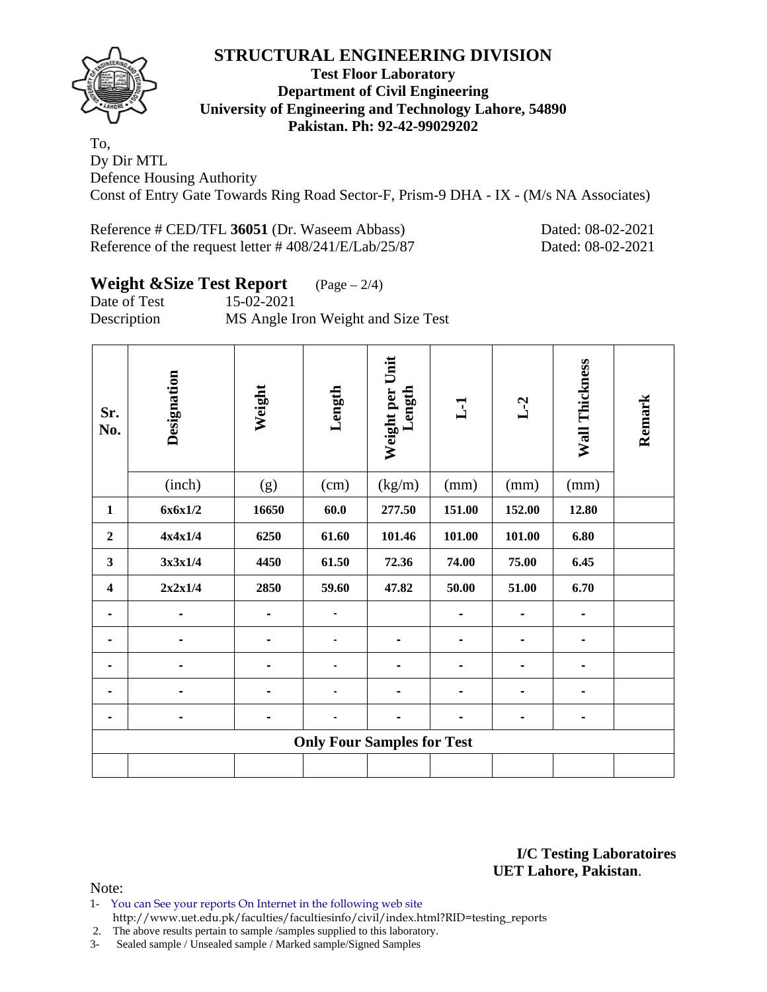

### **Test Floor Laboratory Department of Civil Engineering University of Engineering and Technology Lahore, 54890 Pakistan. Ph: 92-42-99029202**

To, Dy Dir MTL Defence Housing Authority Const of Entry Gate Towards Ring Road Sector-F, Prism-9 DHA - IX - (M/s NA Associates)

Reference # CED/TFL **36051** (Dr. Waseem Abbass) Dated: 08-02-2021 Reference of the request letter # 408/241/E/Lab/25/87 Dated: 08-02-2021

# **Weight &Size Test Report** (Page – 2/4)

Date of Test 15-02-2021

Description MS Angle Iron Weight and Size Test

| Sr.<br>No.              | Designation | Weight | Length                            | Weight per Unit<br>Length | $\mathbf{L}$   | $L-2$          | Wall Thickness | Remark |
|-------------------------|-------------|--------|-----------------------------------|---------------------------|----------------|----------------|----------------|--------|
|                         | (inch)      | (g)    | (cm)                              | (kg/m)                    | (mm)           | (mm)           | (mm)           |        |
| $\mathbf{1}$            | 6x6x1/2     | 16650  | 60.0                              | 277.50                    | 151.00         | 152.00         | 12.80          |        |
| $\boldsymbol{2}$        | 4x4x1/4     | 6250   | 61.60                             | 101.46                    | 101.00         | 101.00         | 6.80           |        |
| 3                       | 3x3x1/4     | 4450   | 61.50                             | 72.36                     | 74.00          | 75.00          | 6.45           |        |
| $\overline{\mathbf{4}}$ | 2x2x1/4     | 2850   | 59.60                             | 47.82                     | 50.00          | 51.00          | 6.70           |        |
| $\blacksquare$          |             |        | $\blacksquare$                    |                           |                |                | $\blacksquare$ |        |
|                         |             |        |                                   |                           |                |                |                |        |
|                         |             |        |                                   | -                         |                |                | -              |        |
|                         |             |        |                                   | -                         | $\blacksquare$ |                | $\blacksquare$ |        |
|                         | -           |        | -                                 | -                         | -              | $\blacksquare$ | $\blacksquare$ |        |
|                         |             |        | <b>Only Four Samples for Test</b> |                           |                |                |                |        |
|                         |             |        |                                   |                           |                |                |                |        |

**I/C Testing Laboratoires UET Lahore, Pakistan**.

- 1- You can See your reports On Internet in the following web site http://www.uet.edu.pk/faculties/facultiesinfo/civil/index.html?RID=testing\_reports
- 2. The above results pertain to sample /samples supplied to this laboratory.
- 3- Sealed sample / Unsealed sample / Marked sample/Signed Samples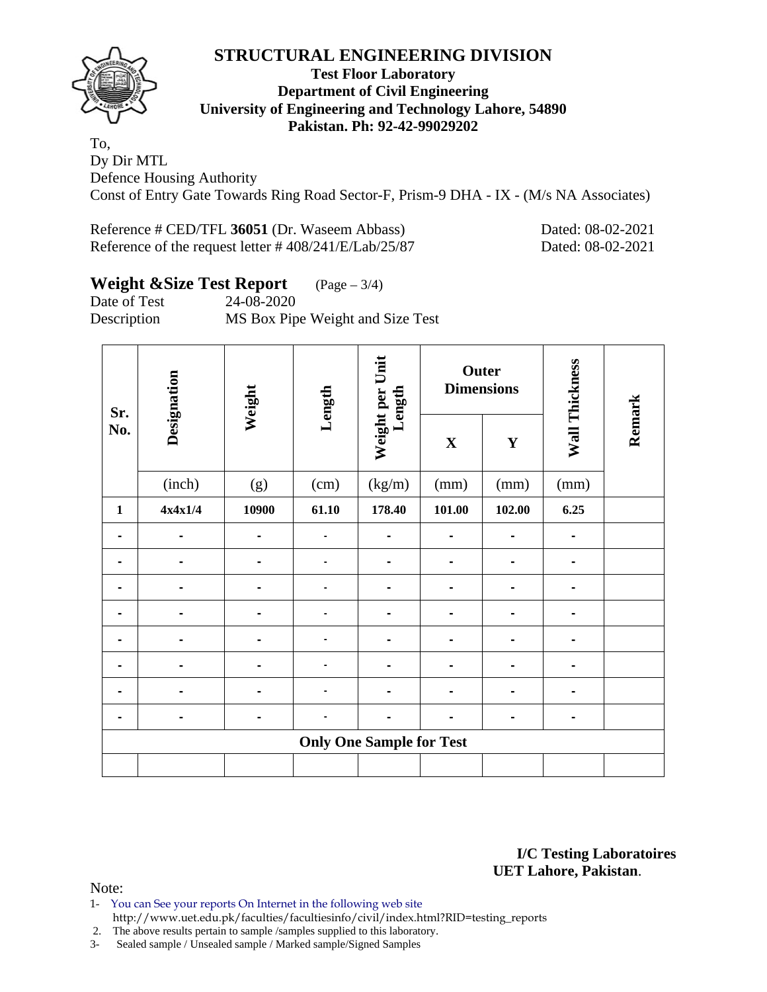

### **Test Floor Laboratory Department of Civil Engineering University of Engineering and Technology Lahore, 54890 Pakistan. Ph: 92-42-99029202**

To, Dy Dir MTL Defence Housing Authority Const of Entry Gate Towards Ring Road Sector-F, Prism-9 DHA - IX - (M/s NA Associates)

Reference # CED/TFL **36051** (Dr. Waseem Abbass) Dated: 08-02-2021 Reference of the request letter # 408/241/E/Lab/25/87 Dated: 08-02-2021

# **Weight &Size Test Report** (Page – 3/4)

Date of Test 24-08-2020 Description MS Box Pipe Weight and Size Test

| Sr.          | Designation | Weight | Length | Weight per Unit<br>Length       |                | Outer<br><b>Dimensions</b> | Wall Thickness |        |  |
|--------------|-------------|--------|--------|---------------------------------|----------------|----------------------------|----------------|--------|--|
| No.          |             |        |        |                                 | $\mathbf X$    | $\mathbf Y$                |                | Remark |  |
|              | (inch)      | (g)    | (cm)   | (kg/m)                          | (mm)           | (mm)                       | (mm)           |        |  |
| $\mathbf{1}$ | 4x4x1/4     | 10900  | 61.10  | 178.40                          | 101.00         | 102.00                     | 6.25           |        |  |
|              |             |        |        |                                 |                |                            |                |        |  |
|              |             |        |        |                                 |                |                            |                |        |  |
|              |             |        |        |                                 | $\blacksquare$ |                            |                |        |  |
|              |             |        |        |                                 | $\blacksquare$ |                            |                |        |  |
| ۰            |             | -      |        |                                 | $\blacksquare$ | $\blacksquare$             |                |        |  |
|              |             |        |        |                                 |                |                            |                |        |  |
|              |             |        |        |                                 | $\blacksquare$ |                            |                |        |  |
|              |             |        |        |                                 |                |                            |                |        |  |
|              |             |        |        | <b>Only One Sample for Test</b> |                |                            |                |        |  |
|              |             |        |        |                                 |                |                            |                |        |  |

**I/C Testing Laboratoires UET Lahore, Pakistan**.

- 1- You can See your reports On Internet in the following web site http://www.uet.edu.pk/faculties/facultiesinfo/civil/index.html?RID=testing\_reports
- 2. The above results pertain to sample /samples supplied to this laboratory.
- 3- Sealed sample / Unsealed sample / Marked sample/Signed Samples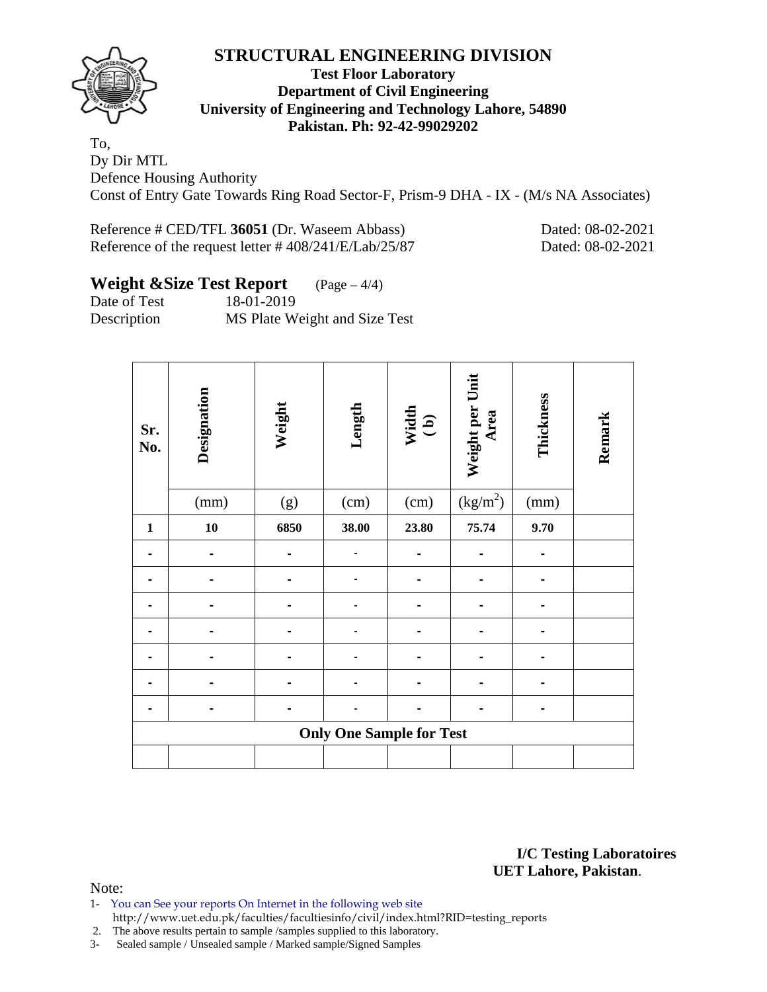

### **Test Floor Laboratory Department of Civil Engineering University of Engineering and Technology Lahore, 54890 Pakistan. Ph: 92-42-99029202**

To, Dy Dir MTL Defence Housing Authority Const of Entry Gate Towards Ring Road Sector-F, Prism-9 DHA - IX - (M/s NA Associates)

Reference # CED/TFL **36051** (Dr. Waseem Abbass) Dated: 08-02-2021 Reference of the request letter # 408/241/E/Lab/25/87 Dated: 08-02-2021

# **Weight &Size Test Report** (Page – 4/4)

Date of Test 18-01-2019 Description MS Plate Weight and Size Test

| Sr.<br>No.   | Designation | Weight | Length                          | Width<br>(b) | Weight per Unit<br>Area | Thickness | Remark |
|--------------|-------------|--------|---------------------------------|--------------|-------------------------|-----------|--------|
|              | (mm)        | (g)    | (cm)                            | (cm)         | $\left(kg/m^{2}\right)$ | (mm)      |        |
| $\mathbf{1}$ | 10          | 6850   | 38.00                           | 23.80        | 75.74                   | 9.70      |        |
|              |             |        |                                 |              |                         |           |        |
|              |             |        |                                 |              |                         |           |        |
|              |             |        |                                 |              |                         |           |        |
|              |             |        |                                 |              |                         |           |        |
|              |             |        |                                 |              |                         |           |        |
|              |             |        |                                 |              |                         |           |        |
|              |             |        |                                 |              |                         |           |        |
|              |             |        | <b>Only One Sample for Test</b> |              |                         |           |        |
|              |             |        |                                 |              |                         |           |        |

**I/C Testing Laboratoires UET Lahore, Pakistan**.

- 1- You can See your reports On Internet in the following web site http://www.uet.edu.pk/faculties/facultiesinfo/civil/index.html?RID=testing\_reports
- 2. The above results pertain to sample /samples supplied to this laboratory.
- 3- Sealed sample / Unsealed sample / Marked sample/Signed Samples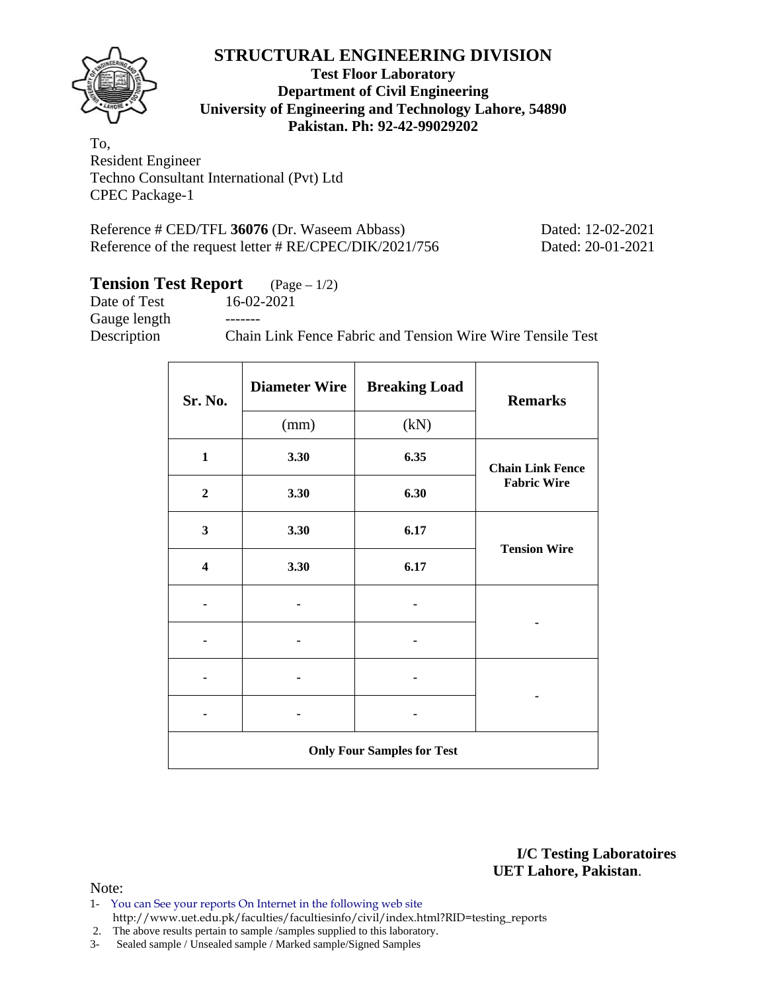

### **Test Floor Laboratory Department of Civil Engineering University of Engineering and Technology Lahore, 54890 Pakistan. Ph: 92-42-99029202**

To, Resident Engineer Techno Consultant International (Pvt) Ltd CPEC Package-1

Reference # CED/TFL **36076** (Dr. Waseem Abbass) Dated: 12-02-2021 Reference of the request letter # RE/CPEC/DIK/2021/756 Dated: 20-01-2021

# **Tension Test Report** (Page – 1/2)

Date of Test 16-02-2021 Gauge length -------Description Chain Link Fence Fabric and Tension Wire Wire Tensile Test

| Sr. No.                           | <b>Diameter Wire</b> | <b>Breaking Load</b> | <b>Remarks</b>          |  |  |  |  |  |
|-----------------------------------|----------------------|----------------------|-------------------------|--|--|--|--|--|
|                                   | (mm)                 | (kN)                 |                         |  |  |  |  |  |
| $\mathbf{1}$                      | 3.30                 | 6.35                 | <b>Chain Link Fence</b> |  |  |  |  |  |
| $\boldsymbol{2}$                  | 3.30                 | 6.30                 | <b>Fabric Wire</b>      |  |  |  |  |  |
| $\mathbf{3}$                      | 3.30                 | 6.17                 | <b>Tension Wire</b>     |  |  |  |  |  |
| $\overline{\mathbf{4}}$           | 3.30                 | 6.17                 |                         |  |  |  |  |  |
|                                   |                      |                      |                         |  |  |  |  |  |
|                                   |                      |                      |                         |  |  |  |  |  |
|                                   |                      |                      |                         |  |  |  |  |  |
|                                   |                      |                      |                         |  |  |  |  |  |
| <b>Only Four Samples for Test</b> |                      |                      |                         |  |  |  |  |  |

**I/C Testing Laboratoires UET Lahore, Pakistan**.

- 1- You can See your reports On Internet in the following web site http://www.uet.edu.pk/faculties/facultiesinfo/civil/index.html?RID=testing\_reports
- 2. The above results pertain to sample /samples supplied to this laboratory.
- 3- Sealed sample / Unsealed sample / Marked sample/Signed Samples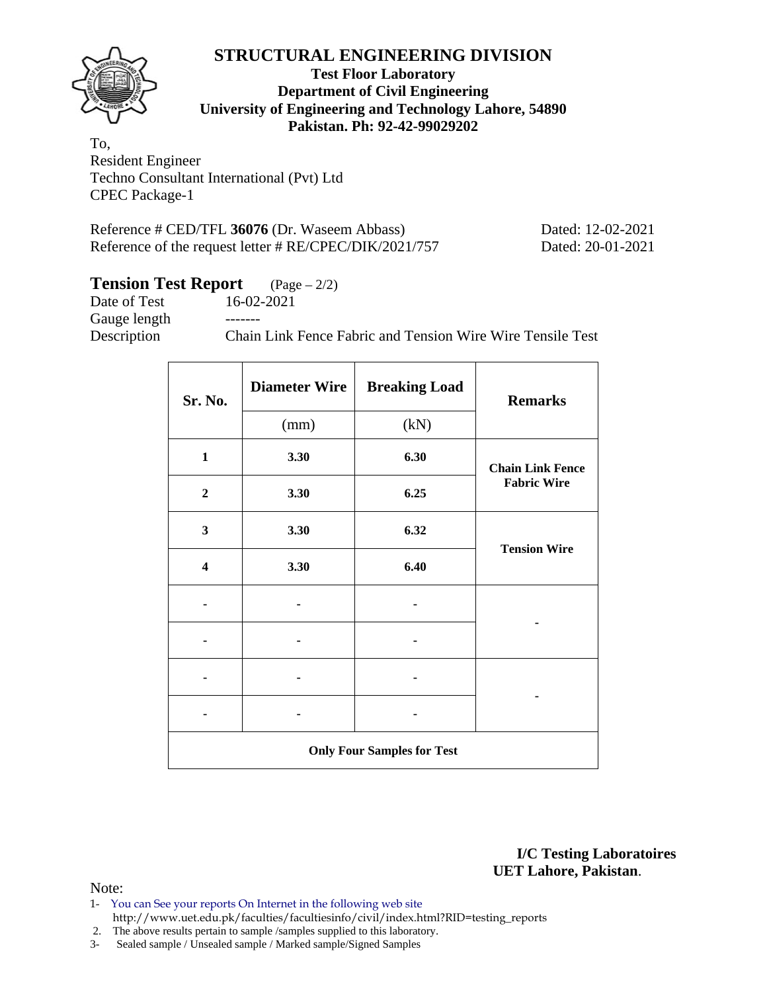

### **Test Floor Laboratory Department of Civil Engineering University of Engineering and Technology Lahore, 54890 Pakistan. Ph: 92-42-99029202**

To, Resident Engineer Techno Consultant International (Pvt) Ltd CPEC Package-1

Reference # CED/TFL **36076** (Dr. Waseem Abbass) Dated: 12-02-2021 Reference of the request letter # RE/CPEC/DIK/2021/757 Dated: 20-01-2021

# **Tension Test Report** (Page – 2/2)

| Date of Test | 16-02-2021                                                 |
|--------------|------------------------------------------------------------|
| Gauge length | -------                                                    |
| Description  | Chain Link Fence Fabric and Tension Wire Wire Tensile Test |
|              |                                                            |

| Sr. No.                           | <b>Diameter Wire</b> | <b>Breaking Load</b> | <b>Remarks</b>          |  |  |  |  |
|-----------------------------------|----------------------|----------------------|-------------------------|--|--|--|--|
|                                   | (mm)                 | (kN)                 |                         |  |  |  |  |
| $\mathbf{1}$                      | 3.30                 | 6.30                 | <b>Chain Link Fence</b> |  |  |  |  |
| $\boldsymbol{2}$                  | 3.30                 | 6.25                 | <b>Fabric Wire</b>      |  |  |  |  |
| 3                                 | 3.30                 | 6.32                 | <b>Tension Wire</b>     |  |  |  |  |
| $\overline{\mathbf{4}}$           | 3.30                 | 6.40                 |                         |  |  |  |  |
|                                   |                      |                      |                         |  |  |  |  |
|                                   |                      |                      |                         |  |  |  |  |
|                                   |                      |                      |                         |  |  |  |  |
|                                   |                      |                      |                         |  |  |  |  |
| <b>Only Four Samples for Test</b> |                      |                      |                         |  |  |  |  |

**I/C Testing Laboratoires UET Lahore, Pakistan**.

- 1- You can See your reports On Internet in the following web site http://www.uet.edu.pk/faculties/facultiesinfo/civil/index.html?RID=testing\_reports
- 2. The above results pertain to sample /samples supplied to this laboratory.
- 3- Sealed sample / Unsealed sample / Marked sample/Signed Samples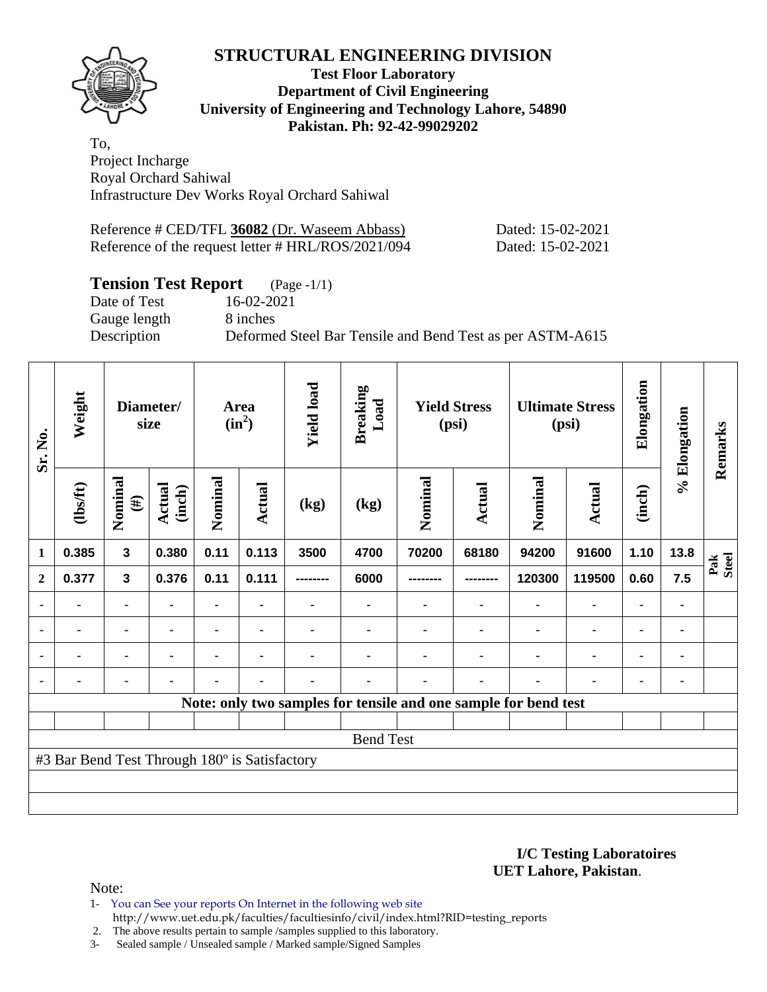

#### **Test Floor Laboratory Department of Civil Engineering University of Engineering and Technology Lahore, 54890 Pakistan. Ph: 92-42-99029202**

To, Project Incharge Royal Orchard Sahiwal Infrastructure Dev Works Royal Orchard Sahiwal

| Reference # CED/TFL 36082 (Dr. Waseem Abbass)      | Dated: 15-02-2021 |
|----------------------------------------------------|-------------------|
| Reference of the request letter # HRL/ROS/2021/094 | Dated: 15-02-2021 |

## **Tension Test Report** (Page -1/1)

Gauge length 8 inches

Date of Test 16-02-2021 Description Deformed Steel Bar Tensile and Bend Test as per ASTM-A615

| Sr. No.        | Weight                                        |                   | Diameter/<br>size       |                | Area<br>$(in^2)$ | <b>Yield load</b> | <b>Breaking</b><br>Load |         | <b>Yield Stress</b><br>(psi) | <b>Ultimate Stress</b><br>(psi)                                 |                |                |      | Elongation   | % Elongation | Remarks |
|----------------|-----------------------------------------------|-------------------|-------------------------|----------------|------------------|-------------------|-------------------------|---------|------------------------------|-----------------------------------------------------------------|----------------|----------------|------|--------------|--------------|---------|
|                | (1bsft)                                       | Nominal<br>$(\#)$ | <b>Actual</b><br>(inch) | Nominal        | Actual           | (kg)              | (kg)                    | Nominal | Actual                       | Nominal                                                         | <b>Actual</b>  | (inch)         |      |              |              |         |
| $\mathbf{1}$   | 0.385                                         | $\mathbf{3}$      | 0.380                   | 0.11           | 0.113            | 3500              | 4700                    | 70200   | 68180                        | 94200                                                           | 91600          | 1.10           | 13.8 | Pak<br>Steel |              |         |
| $\mathbf{2}$   | 0.377                                         | $\mathbf{3}$      | 0.376                   | 0.11           | 0.111            |                   | 6000                    |         |                              | 120300                                                          | 119500         | 0.60           | 7.5  |              |              |         |
| ٠              | ۰                                             | ۰                 |                         | ۰              | ٠                |                   | ۰                       |         |                              |                                                                 |                |                | ٠    |              |              |         |
| $\blacksquare$ | $\blacksquare$                                |                   | ۰                       | ٠              | $\blacksquare$   |                   |                         |         |                              |                                                                 |                | $\blacksquare$ | ۰    |              |              |         |
| $\blacksquare$ | $\blacksquare$                                | ۰                 |                         | $\blacksquare$ | $\blacksquare$   |                   |                         |         |                              |                                                                 | $\blacksquare$ | ٠              | ۰    |              |              |         |
|                |                                               | ٠                 | $\blacksquare$          | $\blacksquare$ | $\blacksquare$   |                   |                         |         |                              | $\blacksquare$                                                  |                |                | ٠    |              |              |         |
|                |                                               |                   |                         |                |                  |                   |                         |         |                              | Note: only two samples for tensile and one sample for bend test |                |                |      |              |              |         |
|                |                                               |                   |                         |                |                  |                   |                         |         |                              |                                                                 |                |                |      |              |              |         |
|                |                                               |                   |                         |                |                  |                   | <b>Bend Test</b>        |         |                              |                                                                 |                |                |      |              |              |         |
|                | #3 Bar Bend Test Through 180° is Satisfactory |                   |                         |                |                  |                   |                         |         |                              |                                                                 |                |                |      |              |              |         |
|                |                                               |                   |                         |                |                  |                   |                         |         |                              |                                                                 |                |                |      |              |              |         |
|                |                                               |                   |                         |                |                  |                   |                         |         |                              |                                                                 |                |                |      |              |              |         |

**I/C Testing Laboratoires UET Lahore, Pakistan**.

Note:

1- You can See your reports On Internet in the following web site http://www.uet.edu.pk/faculties/facultiesinfo/civil/index.html?RID=testing\_reports

2. The above results pertain to sample /samples supplied to this laboratory.

3- Sealed sample / Unsealed sample / Marked sample/Signed Samples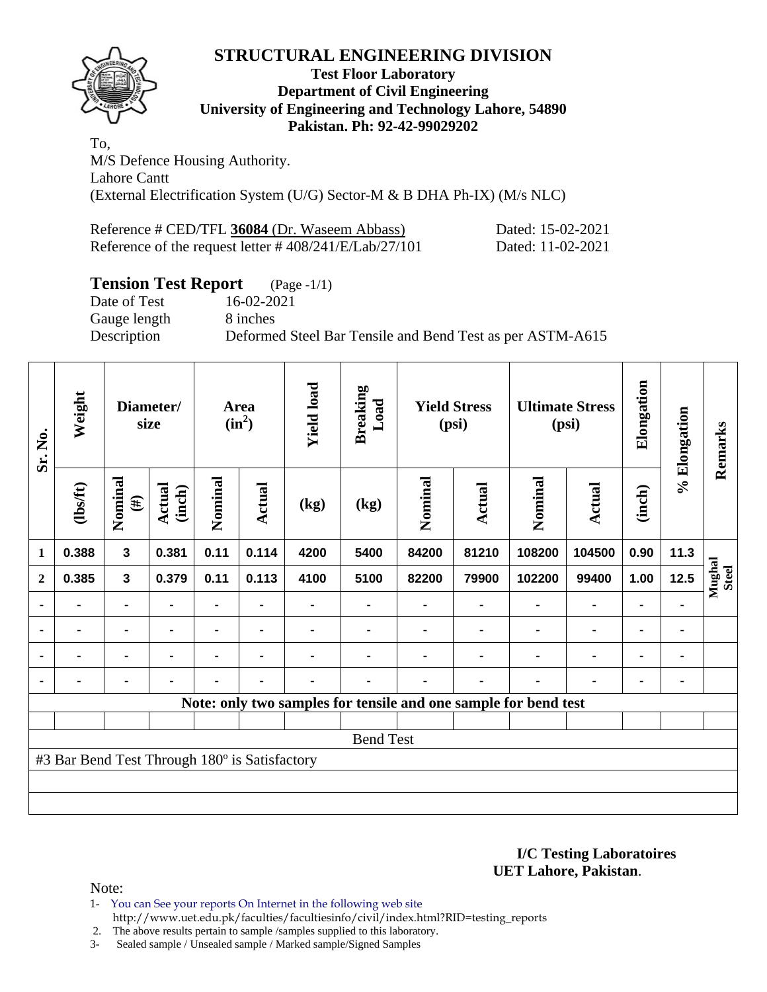

### **Test Floor Laboratory Department of Civil Engineering University of Engineering and Technology Lahore, 54890 Pakistan. Ph: 92-42-99029202**

To, M/S Defence Housing Authority. Lahore Cantt (External Electrification System (U/G) Sector-M & B DHA Ph-IX) (M/s NLC)

| Reference # CED/TFL 36084 (Dr. Waseem Abbass)             | Dated: 15-02-2021 |
|-----------------------------------------------------------|-------------------|
| Reference of the request letter $\# 408/241/E/Lab/27/101$ | Dated: 11-02-2021 |

# **Tension Test Report** (Page -1/1)

Date of Test 16-02-2021 Gauge length 8 inches

Description Deformed Steel Bar Tensile and Bend Test as per ASTM-A615

| Sr. No.        | Weight                                        |                   | Diameter/<br>size       |                | Area<br>$(in^2)$ | <b>Yield load</b> | <b>Breaking</b><br>Load |                | <b>Yield Stress</b><br>(psi) | <b>Ultimate Stress</b><br>(psi)                                 |                |                |                | Elongation      | % Elongation | Remarks |
|----------------|-----------------------------------------------|-------------------|-------------------------|----------------|------------------|-------------------|-------------------------|----------------|------------------------------|-----------------------------------------------------------------|----------------|----------------|----------------|-----------------|--------------|---------|
|                | (1bsft)                                       | Nominal<br>$(\#)$ | <b>Actual</b><br>(inch) | Nominal        | Actual           | (kg)              | (kg)                    | Nominal        | Actual                       | Nominal                                                         | Actual         | (inch)         |                |                 |              |         |
| $\mathbf{1}$   | 0.388                                         | $\mathbf{3}$      | 0.381                   | 0.11           | 0.114            | 4200              | 5400                    | 84200          | 81210                        | 108200                                                          | 104500         | 0.90           | 11.3           |                 |              |         |
| $\overline{2}$ | 0.385                                         | $\mathbf{3}$      | 0.379                   | 0.11           | 0.113            | 4100              | 5100                    | 82200          | 79900                        | 102200                                                          | 99400          | 1.00           | 12.5           | Mughal<br>Steel |              |         |
|                |                                               |                   |                         |                |                  |                   |                         |                |                              |                                                                 | $\blacksquare$ | ٠              |                |                 |              |         |
| $\blacksquare$ | $\blacksquare$                                | $\blacksquare$    | $\blacksquare$          | $\blacksquare$ | $\blacksquare$   |                   | $\blacksquare$          |                | $\blacksquare$               |                                                                 | $\blacksquare$ | $\blacksquare$ | $\blacksquare$ |                 |              |         |
|                | $\blacksquare$                                | ۰                 |                         | ۰              | ۰                |                   |                         |                |                              |                                                                 | $\blacksquare$ | ۰              |                |                 |              |         |
|                | $\blacksquare$                                | ۰                 | $\blacksquare$          |                | ۰                |                   | $\blacksquare$          | $\blacksquare$ | ۰                            |                                                                 | $\blacksquare$ | ۰              | ٠              |                 |              |         |
|                |                                               |                   |                         |                |                  |                   |                         |                |                              | Note: only two samples for tensile and one sample for bend test |                |                |                |                 |              |         |
|                |                                               |                   |                         |                |                  |                   |                         |                |                              |                                                                 |                |                |                |                 |              |         |
|                |                                               |                   |                         |                |                  |                   | <b>Bend Test</b>        |                |                              |                                                                 |                |                |                |                 |              |         |
|                | #3 Bar Bend Test Through 180° is Satisfactory |                   |                         |                |                  |                   |                         |                |                              |                                                                 |                |                |                |                 |              |         |
|                |                                               |                   |                         |                |                  |                   |                         |                |                              |                                                                 |                |                |                |                 |              |         |
|                |                                               |                   |                         |                |                  |                   |                         |                |                              |                                                                 |                |                |                |                 |              |         |

**I/C Testing Laboratoires UET Lahore, Pakistan**.

Note:

1- You can See your reports On Internet in the following web site http://www.uet.edu.pk/faculties/facultiesinfo/civil/index.html?RID=testing\_reports

2. The above results pertain to sample /samples supplied to this laboratory.

3- Sealed sample / Unsealed sample / Marked sample/Signed Samples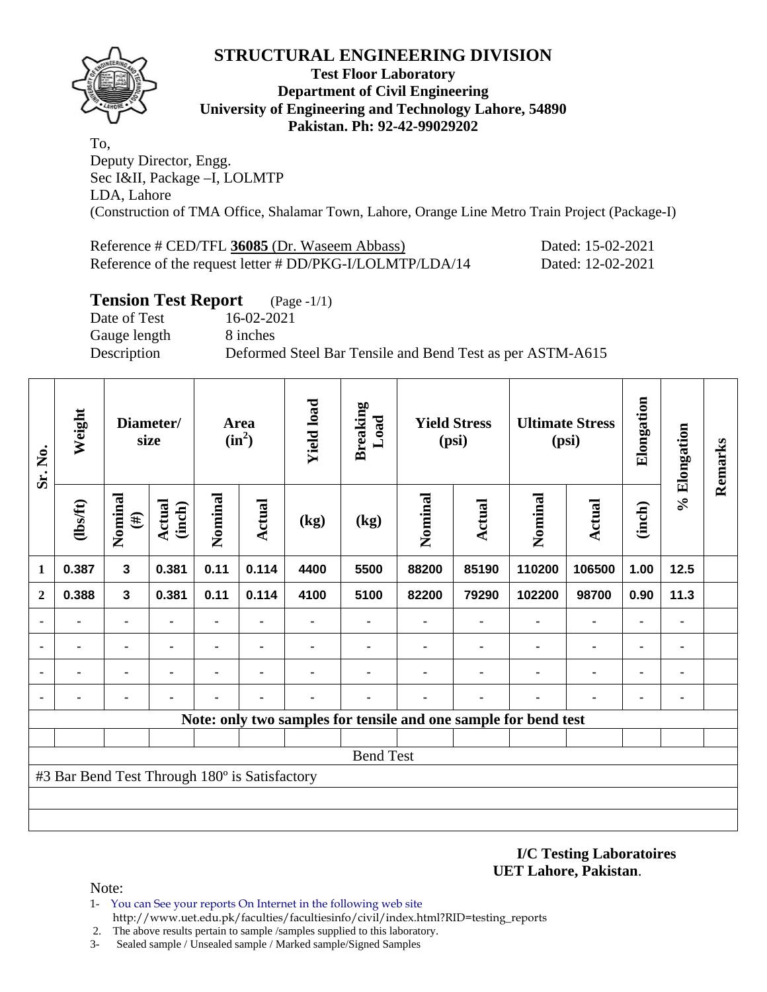

### **Test Floor Laboratory Department of Civil Engineering University of Engineering and Technology Lahore, 54890 Pakistan. Ph: 92-42-99029202**

To, Deputy Director, Engg. Sec I&II, Package –I, LOLMTP LDA, Lahore (Construction of TMA Office, Shalamar Town, Lahore, Orange Line Metro Train Project (Package-I)

| Reference # CED/TFL 36085 (Dr. Waseem Abbass)            | Dated: 15-02-2021 |
|----------------------------------------------------------|-------------------|
| Reference of the request letter # DD/PKG-I/LOLMTP/LDA/14 | Dated: 12-02-2021 |

### **Tension Test Report** (Page -1/1)

Date of Test 16-02-2021 Gauge length 8 inches

Description Deformed Steel Bar Tensile and Bend Test as per ASTM-A615

| Sr. No.                                                         | Weight         | Diameter/<br>size       |                  | Area<br>$(in^2)$ |                | <b>Yield load</b> | <b>Breaking</b><br>Load | <b>Yield Stress</b><br>(psi) |               | <b>Ultimate Stress</b><br>(psi) |                | Elongation     | % Elongation | Remarks |
|-----------------------------------------------------------------|----------------|-------------------------|------------------|------------------|----------------|-------------------|-------------------------|------------------------------|---------------|---------------------------------|----------------|----------------|--------------|---------|
|                                                                 | $lbsft$        | Nominal<br>$(\#)$       | Actual<br>(inch) | Nominal          | Actual         | (kg)              | (kg)                    | Nominal                      | <b>Actual</b> | Nominal                         | <b>Actual</b>  | (inch)         |              |         |
| $\mathbf{1}$                                                    | 0.387          | $\overline{\mathbf{3}}$ | 0.381            | 0.11             | 0.114          | 4400              | 5500                    | 88200                        | 85190         | 110200                          | 106500         | 1.00           | 12.5         |         |
| $\mathbf{2}$                                                    | 0.388          | 3                       | 0.381            | 0.11             | 0.114          | 4100              | 5100                    | 82200                        | 79290         | 102200                          | 98700          | 0.90           | 11.3         |         |
|                                                                 | $\blacksquare$ |                         | $\blacksquare$   | $\blacksquare$   | $\blacksquare$ |                   |                         |                              |               | $\blacksquare$                  | $\blacksquare$ |                | ۰            |         |
|                                                                 |                |                         |                  |                  | ٠              |                   |                         |                              |               |                                 |                |                | ۰            |         |
| ٠                                                               |                | ٠                       |                  |                  | ٠              |                   |                         |                              |               |                                 |                |                | ۰            |         |
| ٠                                                               |                | ۰                       |                  |                  | ٠              |                   |                         |                              |               | ٠                               | $\blacksquare$ | $\blacksquare$ | ۰            |         |
| Note: only two samples for tensile and one sample for bend test |                |                         |                  |                  |                |                   |                         |                              |               |                                 |                |                |              |         |
|                                                                 |                |                         |                  |                  |                |                   |                         |                              |               |                                 |                |                |              |         |
| <b>Bend Test</b>                                                |                |                         |                  |                  |                |                   |                         |                              |               |                                 |                |                |              |         |
| #3 Bar Bend Test Through 180° is Satisfactory                   |                |                         |                  |                  |                |                   |                         |                              |               |                                 |                |                |              |         |
|                                                                 |                |                         |                  |                  |                |                   |                         |                              |               |                                 |                |                |              |         |
|                                                                 |                |                         |                  |                  |                |                   |                         |                              |               |                                 |                |                |              |         |

#### **I/C Testing Laboratoires UET Lahore, Pakistan**.

- 1- You can See your reports On Internet in the following web site http://www.uet.edu.pk/faculties/facultiesinfo/civil/index.html?RID=testing\_reports
- 2. The above results pertain to sample /samples supplied to this laboratory.
- 3- Sealed sample / Unsealed sample / Marked sample/Signed Samples